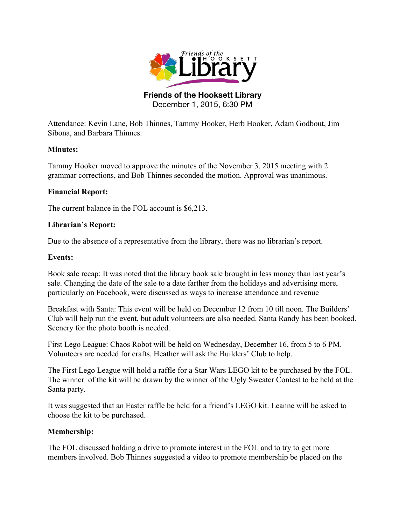

**Friends of the Hooksett Library** December 1, 2015, 6:30 PM

Attendance: Kevin Lane, Bob Thinnes, Tammy Hooker, Herb Hooker, Adam Godbout, Jim Sibona, and Barbara Thinnes.

# **Minutes:**

Tammy Hooker moved to approve the minutes of the November 3, 2015 meeting with 2 grammar corrections, and Bob Thinnes seconded the motion. Approval was unanimous.

# **Financial Report:**

The current balance in the FOL account is \$6,213.

# **Librarian's Report:**

Due to the absence of a representative from the library, there was no librarian's report.

# **Events:**

Book sale recap: It was noted that the library book sale brought in less money than last year's sale. Changing the date of the sale to a date farther from the holidays and advertising more, particularly on Facebook, were discussed as ways to increase attendance and revenue

Breakfast with Santa: This event will be held on December 12 from 10 till noon. The Builders' Club will help run the event, but adult volunteers are also needed. Santa Randy has been booked. Scenery for the photo booth is needed.

First Lego League: Chaos Robot will be held on Wednesday, December 16, from 5 to 6 PM. Volunteers are needed for crafts. Heather will ask the Builders' Club to help.

The First Lego League will hold a raffle for a Star Wars LEGO kit to be purchased by the FOL. The winner of the kit will be drawn by the winner of the Ugly Sweater Contest to be held at the Santa party.

It was suggested that an Easter raffle be held for a friend's LEGO kit. Leanne will be asked to choose the kit to be purchased.

## **Membership:**

The FOL discussed holding a drive to promote interest in the FOL and to try to get more members involved. Bob Thinnes suggested a video to promote membership be placed on the